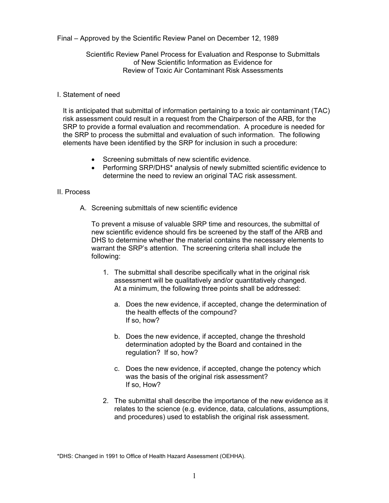Final – Approved by the Scientific Review Panel on December 12, 1989

Scientific Review Panel Process for Evaluation and Response to Submittals of New Scientific Information as Evidence for Review of Toxic Air Contaminant Risk Assessments

## I. Statement of need

It is anticipated that submittal of information pertaining to a toxic air contaminant (TAC) risk assessment could result in a request from the Chairperson of the ARB, for the SRP to provide a formal evaluation and recommendation. A procedure is needed for the SRP to process the submittal and evaluation of such information. The following elements have been identified by the SRP for inclusion in such a procedure:

- Screening submittals of new scientific evidence.
- Performing SRP/DHS\* analysis of newly submitted scientific evidence to determine the need to review an original TAC risk assessment.

## II. Process

A. Screening submittals of new scientific evidence

To prevent a misuse of valuable SRP time and resources, the submittal of new scientific evidence should firs be screened by the staff of the ARB and DHS to determine whether the material contains the necessary elements to warrant the SRP's attention. The screening criteria shall include the following:

- 1. The submittal shall describe specifically what in the original risk assessment will be qualitatively and/or quantitatively changed. At a minimum, the following three points shall be addressed:
	- a. Does the new evidence, if accepted, change the determination of the health effects of the compound? If so, how?
	- b. Does the new evidence, if accepted, change the threshold determination adopted by the Board and contained in the regulation? If so, how?
	- c. Does the new evidence, if accepted, change the potency which was the basis of the original risk assessment? If so, How?
- 2. The submittal shall describe the importance of the new evidence as it relates to the science (e.g. evidence, data, calculations, assumptions, and procedures) used to establish the original risk assessment.